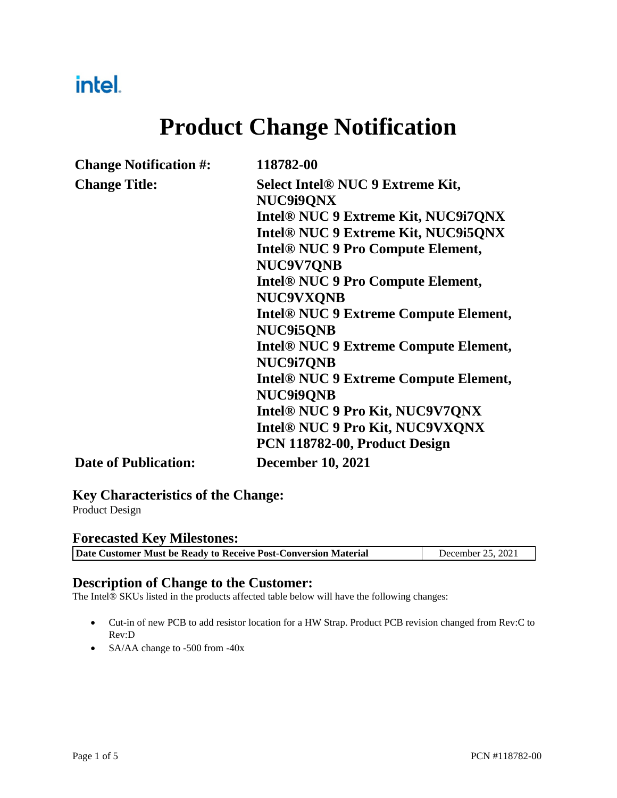## intel.

# **Product Change Notification**

| <b>Change Notification #:</b> | 118782-00                                           |
|-------------------------------|-----------------------------------------------------|
| <b>Change Title:</b>          | <b>Select Intel® NUC 9 Extreme Kit,</b>             |
|                               | NUC9i9ONX                                           |
|                               | Intel® NUC 9 Extreme Kit, NUC9i7QNX                 |
|                               | Intel <sup>®</sup> NUC 9 Extreme Kit, NUC9i5QNX     |
|                               | <b>Intel<sup>®</sup> NUC 9 Pro Compute Element,</b> |
|                               | NUC9V7QNB                                           |
|                               | <b>Intel® NUC 9 Pro Compute Element,</b>            |
|                               | <b>NUC9VXONB</b>                                    |
|                               | <b>Intel® NUC 9 Extreme Compute Element,</b>        |
|                               | NUC9i5QNB                                           |
|                               | <b>Intel® NUC 9 Extreme Compute Element,</b>        |
|                               | <b>NUC9i7QNB</b>                                    |
|                               | <b>Intel® NUC 9 Extreme Compute Element,</b>        |
|                               | <b>NUC9i9QNB</b>                                    |
|                               | Intel® NUC 9 Pro Kit, NUC9V7QNX                     |
|                               | Intel® NUC 9 Pro Kit, NUC9VXQNX                     |
|                               | PCN 118782-00, Product Design                       |
| <b>Date of Publication:</b>   | <b>December 10, 2021</b>                            |

### **Key Characteristics of the Change:**

Product Design

#### **Forecasted Key Milestones:**

| Date Customer Must be Ready to Receive Post-Conversion Material | December 25, 2021 |
|-----------------------------------------------------------------|-------------------|
|-----------------------------------------------------------------|-------------------|

#### **Description of Change to the Customer:**

The Intel® SKUs listed in the products affected table below will have the following changes:

- Cut-in of new PCB to add resistor location for a HW Strap. Product PCB revision changed from Rev:C to Rev:D
- SA/AA change to -500 from -40x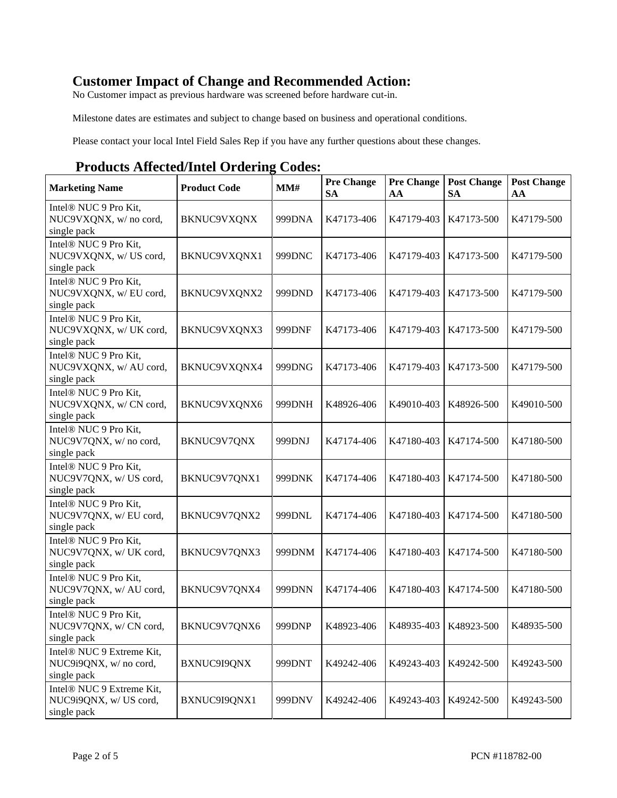### **Customer Impact of Change and Recommended Action:**

No Customer impact as previous hardware was screened before hardware cut-in.

Milestone dates are estimates and subject to change based on business and operational conditions.

Please contact your local Intel Field Sales Rep if you have any further questions about these changes.

#### **Products Affected/Intel Ordering Codes:**

| <b>Marketing Name</b>                                                      | <b>Product Code</b> | MM#    | <b>Pre Change</b><br><b>SA</b> | <b>Pre Change</b><br>AA | <b>Post Change</b><br><b>SA</b> | <b>Post Change</b><br>AA |
|----------------------------------------------------------------------------|---------------------|--------|--------------------------------|-------------------------|---------------------------------|--------------------------|
| Intel <sup>®</sup> NUC 9 Pro Kit,<br>NUC9VXQNX, w/ no cord,<br>single pack | <b>BKNUC9VXQNX</b>  | 999DNA | K47173-406                     | K47179-403              | K47173-500                      | K47179-500               |
| Intel <sup>®</sup> NUC 9 Pro Kit,<br>NUC9VXQNX, w/ US cord,<br>single pack | BKNUC9VXQNX1        | 999DNC | K47173-406                     | K47179-403              | K47173-500                      | K47179-500               |
| Intel <sup>®</sup> NUC 9 Pro Kit,<br>NUC9VXQNX, w/EU cord,<br>single pack  | BKNUC9VXQNX2        | 999DND | K47173-406                     | K47179-403              | K47173-500                      | K47179-500               |
| Intel <sup>®</sup> NUC 9 Pro Kit,<br>NUC9VXQNX, w/ UK cord,<br>single pack | BKNUC9VXQNX3        | 999DNF | K47173-406                     | K47179-403              | K47173-500                      | K47179-500               |
| Intel <sup>®</sup> NUC 9 Pro Kit,<br>NUC9VXQNX, w/ AU cord,<br>single pack | BKNUC9VXQNX4        | 999DNG | K47173-406                     | K47179-403              | K47173-500                      | K47179-500               |
| Intel <sup>®</sup> NUC 9 Pro Kit,<br>NUC9VXQNX, w/ CN cord,<br>single pack | BKNUC9VXQNX6        | 999DNH | K48926-406                     | K49010-403              | K48926-500                      | K49010-500               |
| Intel <sup>®</sup> NUC 9 Pro Kit,<br>NUC9V7QNX, w/ no cord,<br>single pack | BKNUC9V7QNX         | 999DNJ | K47174-406                     | K47180-403              | K47174-500                      | K47180-500               |
| Intel <sup>®</sup> NUC 9 Pro Kit,<br>NUC9V7QNX, w/ US cord,<br>single pack | BKNUC9V7QNX1        | 999DNK | K47174-406                     | K47180-403              | K47174-500                      | K47180-500               |
| Intel <sup>®</sup> NUC 9 Pro Kit,<br>NUC9V7QNX, w/EU cord,<br>single pack  | BKNUC9V7QNX2        | 999DNL | K47174-406                     | K47180-403              | K47174-500                      | K47180-500               |
| Intel <sup>®</sup> NUC 9 Pro Kit,<br>NUC9V7QNX, w/ UK cord,<br>single pack | BKNUC9V7QNX3        | 999DNM | K47174-406                     | K47180-403              | K47174-500                      | K47180-500               |
| Intel® NUC 9 Pro Kit,<br>NUC9V7QNX, w/ AU cord,<br>single pack             | BKNUC9V7QNX4        | 999DNN | K47174-406                     | K47180-403              | K47174-500                      | K47180-500               |
| Intel <sup>®</sup> NUC 9 Pro Kit,<br>NUC9V7QNX, w/ CN cord,<br>single pack | BKNUC9V7QNX6        | 999DNP | K48923-406                     | K48935-403              | K48923-500 K48935-500           |                          |
| Intel® NUC 9 Extreme Kit,<br>NUC9i9QNX, w/ no cord,<br>single pack         | BXNUC9I9QNX         | 999DNT | K49242-406                     | K49243-403              | K49242-500                      | K49243-500               |
| Intel® NUC 9 Extreme Kit,<br>NUC9i9QNX, w/ US cord,<br>single pack         | BXNUC9I9QNX1        | 999DNV | K49242-406                     | K49243-403              | K49242-500                      | K49243-500               |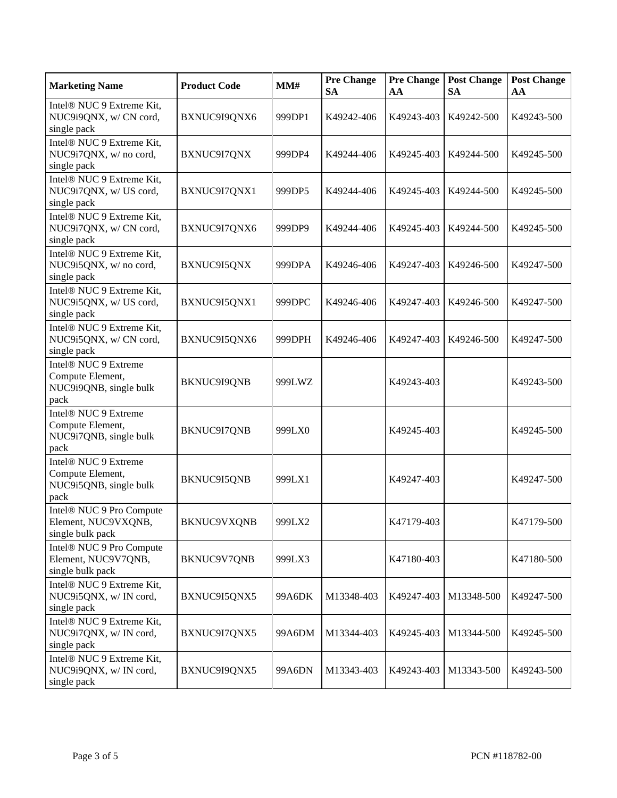| <b>Marketing Name</b>                                                                  | <b>Product Code</b> | MM#    | <b>Pre Change</b><br><b>SA</b> | <b>Pre Change</b><br>AA | <b>Post Change</b><br><b>SA</b> | <b>Post Change</b><br>AA |
|----------------------------------------------------------------------------------------|---------------------|--------|--------------------------------|-------------------------|---------------------------------|--------------------------|
| Intel® NUC 9 Extreme Kit,<br>NUC9i9QNX, w/CN cord,<br>single pack                      | BXNUC9I9QNX6        | 999DP1 | K49242-406                     | K49243-403              | K49242-500                      | K49243-500               |
| Intel® NUC 9 Extreme Kit,<br>NUC9i7QNX, w/no cord,<br>single pack                      | BXNUC9I7QNX         | 999DP4 | K49244-406                     | K49245-403              | K49244-500                      | K49245-500               |
| Intel® NUC 9 Extreme Kit,<br>NUC9i7QNX, w/ US cord,<br>single pack                     | BXNUC9I7QNX1        | 999DP5 | K49244-406                     | K49245-403              | K49244-500                      | K49245-500               |
| Intel® NUC 9 Extreme Kit,<br>NUC9i7QNX, w/CN cord,<br>single pack                      | BXNUC9I7QNX6        | 999DP9 | K49244-406                     | K49245-403              | K49244-500                      | K49245-500               |
| Intel® NUC 9 Extreme Kit,<br>NUC9i5QNX, w/no cord,<br>single pack                      | BXNUC9I5QNX         | 999DPA | K49246-406                     | K49247-403              | K49246-500                      | K49247-500               |
| Intel® NUC 9 Extreme Kit,<br>NUC9i5QNX, w/ US cord,<br>single pack                     | BXNUC9I5QNX1        | 999DPC | K49246-406                     | K49247-403              | K49246-500                      | K49247-500               |
| Intel® NUC 9 Extreme Kit,<br>NUC9i5QNX, w/ CN cord,<br>single pack                     | BXNUC9I5QNX6        | 999DPH | K49246-406                     | K49247-403              | K49246-500                      | K49247-500               |
| Intel® NUC 9 Extreme<br>Compute Element,<br>NUC9i9QNB, single bulk<br>pack             | BKNUC9I9QNB         | 999LWZ |                                | K49243-403              |                                 | K49243-500               |
| Intel <sup>®</sup> NUC 9 Extreme<br>Compute Element,<br>NUC9i7QNB, single bulk<br>pack | BKNUC9I7QNB         | 999LX0 |                                | K49245-403              |                                 | K49245-500               |
| Intel <sup>®</sup> NUC 9 Extreme<br>Compute Element,<br>NUC9i5QNB, single bulk<br>pack | BKNUC9I5QNB         | 999LX1 |                                | K49247-403              |                                 | K49247-500               |
| Intel® NUC 9 Pro Compute<br>Element, NUC9VXQNB,<br>single bulk pack                    | <b>BKNUC9VXQNB</b>  | 999LX2 |                                | K47179-403              |                                 | K47179-500               |
| Intel® NUC 9 Pro Compute<br>Element, NUC9V7QNB,<br>single bulk pack                    | BKNUC9V7QNB         | 999LX3 |                                | K47180-403              |                                 | K47180-500               |
| Intel® NUC 9 Extreme Kit,<br>NUC9i5QNX, w/IN cord,<br>single pack                      | BXNUC9I5QNX5        | 99A6DK | M13348-403                     | K49247-403              | M13348-500                      | K49247-500               |
| Intel® NUC 9 Extreme Kit,<br>NUC9i7QNX, w/IN cord,<br>single pack                      | BXNUC9I7QNX5        | 99A6DM | M13344-403                     | K49245-403              | M13344-500                      | K49245-500               |
| Intel® NUC 9 Extreme Kit,<br>NUC9i9QNX, w/IN cord,<br>single pack                      | BXNUC9I9QNX5        | 99A6DN | M13343-403                     | K49243-403              | M13343-500                      | K49243-500               |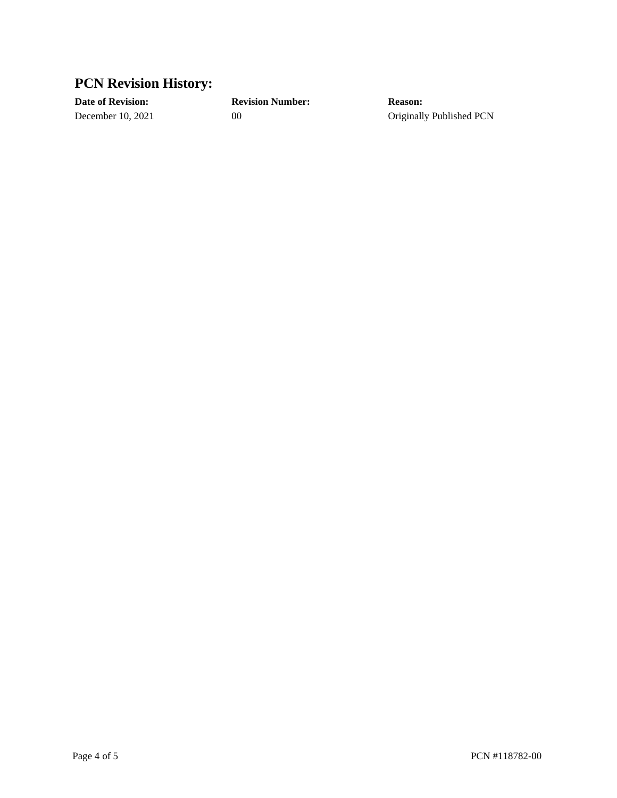### **PCN Revision History:**

**Date of Revision: Revision Number: Reason:** December 10, 2021 00 00 Originally Published PCN